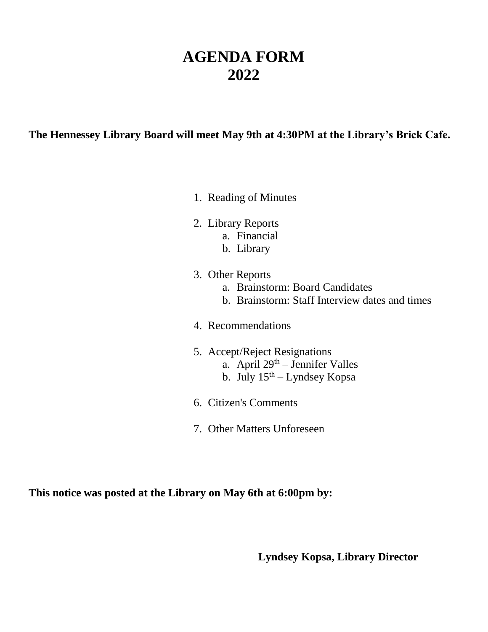## **AGENDA FORM 2022**

#### **The Hennessey Library Board will meet May 9th at 4:30PM at the Library's Brick Cafe.**

- 1. Reading of Minutes
- 2. Library Reports
	- a. Financial
	- b. Library
- 3. Other Reports
	- a. Brainstorm: Board Candidates
	- b. Brainstorm: Staff Interview dates and times
- 4. Recommendations
- 5. Accept/Reject Resignations
	- a. April  $29<sup>th</sup>$  Jennifer Valles
	- b. July  $15^{th}$  Lyndsey Kopsa
- 6. Citizen's Comments
- 7. Other Matters Unforeseen

**This notice was posted at the Library on May 6th at 6:00pm by:**

**Lyndsey Kopsa, Library Director**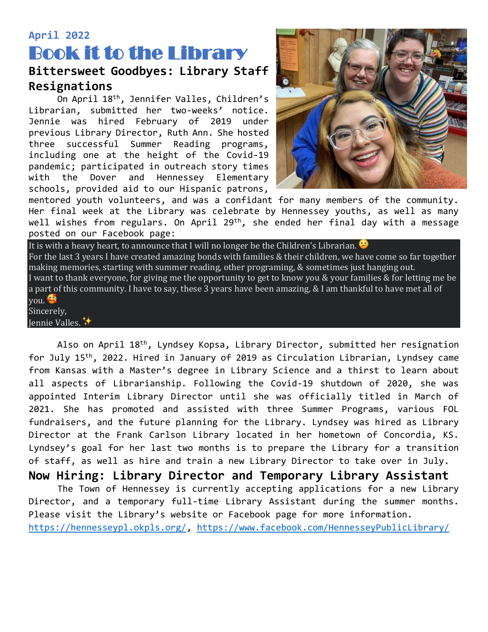### **April 2022**

# Book it to the Library **Bittersweet Goodbyes: Library Staff**

### **Resignations**

On April 18th, Jennifer Valles, Children's Librarian, submitted her two-weeks' notice. Jennie was hired February of 2019 under previous Library Director, Ruth Ann. She hosted three successful Summer Reading programs, including one at the height of the Covid-19 pandemic; participated in outreach story times with the Dover and Hennessey Elementary schools, provided aid to our Hispanic patrons,



mentored youth volunteers, and was a confidant for many members of the community. Her final week at the Library was celebrate by Hennessey youths, as well as many well wishes from regulars. On April 29<sup>th</sup>, she ended her final day with a message posted on our Facebook page:

It is with a heavy heart, to announce that I will no longer be the Children's Librarian. For the last 3 years I have created amazing bonds with families & their children, we have come so far together making memories, starting with summer reading, other programing, & sometimes just hanging out. I want to thank everyone, for giving me the opportunity to get to know you & your families & for letting me be a part of this community. I have to say, these 3 years have been amazing, & I am thankful to have met all of you. Sincerely,

Jennie Valles.

Also on April 18<sup>th</sup>, Lyndsey Kopsa, Library Director, submitted her resignation for July 15th, 2022. Hired in January of 2019 as Circulation Librarian, Lyndsey came from Kansas with a Master's degree in Library Science and a thirst to learn about all aspects of Librarianship. Following the Covid-19 shutdown of 2020, she was appointed Interim Library Director until she was officially titled in March of 2021. She has promoted and assisted with three Summer Programs, various FOL fundraisers, and the future planning for the Library. Lyndsey was hired as Library Director at the Frank Carlson Library located in her hometown of Concordia, KS. Lyndsey's goal for her last two months is to prepare the Library for a transition of staff, as well as hire and train a new Library Director to take over in July.

**Now Hiring: Library Director and Temporary Library Assistant**

The Town of Hennessey is currently accepting applications for a new Library Director, and a temporary full-time Library Assistant during the summer months. Please visit the Library's website or Facebook page for more information. [https://hennesseypl.okpls.org/,](https://hennesseypl.okpls.org/)<https://www.facebook.com/HennesseyPublicLibrary/>